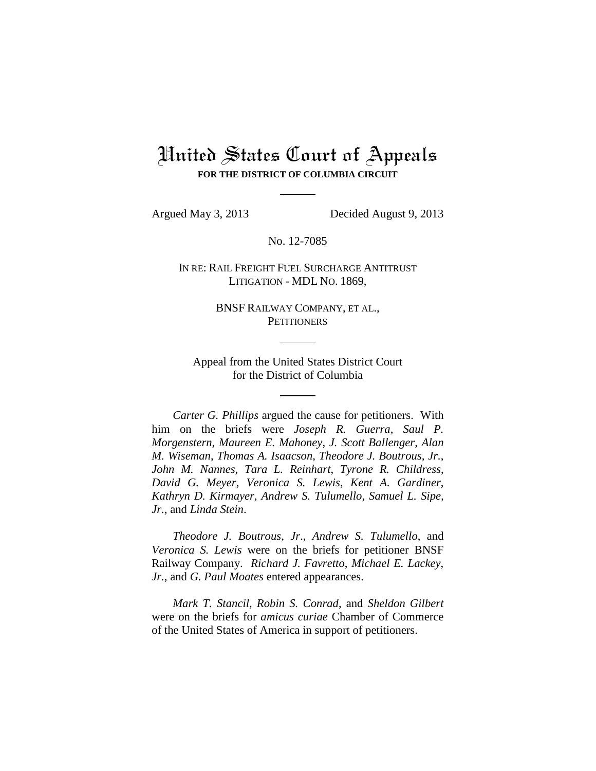## United States Court of Appeals **FOR THE DISTRICT OF COLUMBIA CIRCUIT**

Argued May 3, 2013 Decided August 9, 2013

No. 12-7085

IN RE: RAIL FREIGHT FUEL SURCHARGE ANTITRUST LITIGATION - MDL NO. 1869,

> BNSF RAILWAY COMPANY, ET AL., **PETITIONERS**

Appeal from the United States District Court for the District of Columbia

*Carter G. Phillips* argued the cause for petitioners. With him on the briefs were *Joseph R. Guerra*, *Saul P. Morgenstern*, *Maureen E. Mahoney*, *J. Scott Ballenger*, *Alan M. Wiseman*, *Thomas A. Isaacson*, *Theodore J. Boutrous, Jr.*, *John M. Nannes*, *Tara L. Reinhart*, *Tyrone R. Childress*, *David G. Meyer*, *Veronica S. Lewis*, *Kent A. Gardiner*, *Kathryn D. Kirmayer*, *Andrew S. Tulumello*, *Samuel L. Sipe, Jr.*, and *Linda Stein*.

*Theodore J. Boutrous*, *Jr*., *Andrew S. Tulumello*, and *Veronica S. Lewis* were on the briefs for petitioner BNSF Railway Company. *Richard J. Favretto*, *Michael E. Lackey*, *Jr.*, and *G. Paul Moates* entered appearances.

*Mark T. Stancil*, *Robin S. Conrad*, and *Sheldon Gilbert* were on the briefs for *amicus curiae* Chamber of Commerce of the United States of America in support of petitioners.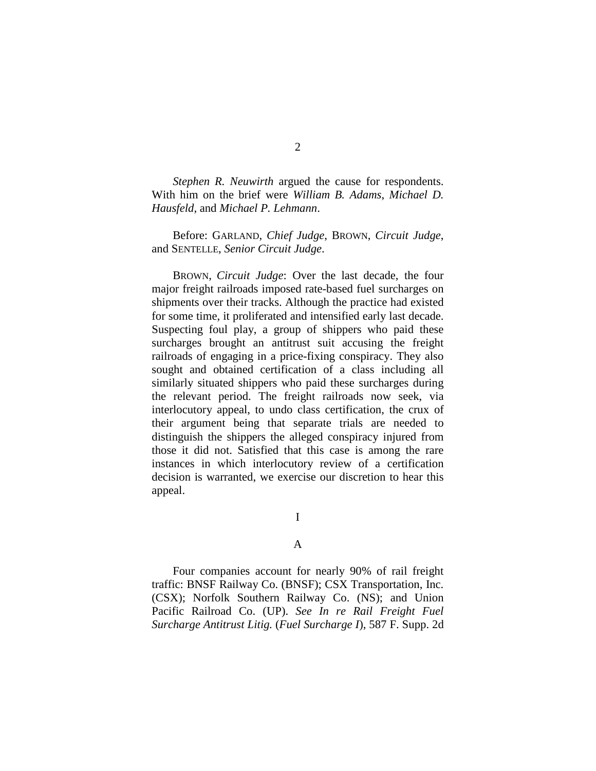*Stephen R. Neuwirth* argued the cause for respondents. With him on the brief were *William B. Adams*, *Michael D. Hausfeld*, and *Michael P. Lehmann*.

Before: GARLAND, *Chief Judge*, BROWN, *Circuit Judge*, and SENTELLE, *Senior Circuit Judge*.

BROWN, *Circuit Judge*: Over the last decade, the four major freight railroads imposed rate-based fuel surcharges on shipments over their tracks. Although the practice had existed for some time, it proliferated and intensified early last decade. Suspecting foul play, a group of shippers who paid these surcharges brought an antitrust suit accusing the freight railroads of engaging in a price-fixing conspiracy. They also sought and obtained certification of a class including all similarly situated shippers who paid these surcharges during the relevant period. The freight railroads now seek, via interlocutory appeal, to undo class certification, the crux of their argument being that separate trials are needed to distinguish the shippers the alleged conspiracy injured from those it did not. Satisfied that this case is among the rare instances in which interlocutory review of a certification decision is warranted, we exercise our discretion to hear this appeal.

I

## A

Four companies account for nearly 90% of rail freight traffic: BNSF Railway Co. (BNSF); CSX Transportation, Inc. (CSX); Norfolk Southern Railway Co. (NS); and Union Pacific Railroad Co. (UP). *See In re Rail Freight Fuel Surcharge Antitrust Litig.* (*Fuel Surcharge I*), 587 F. Supp. 2d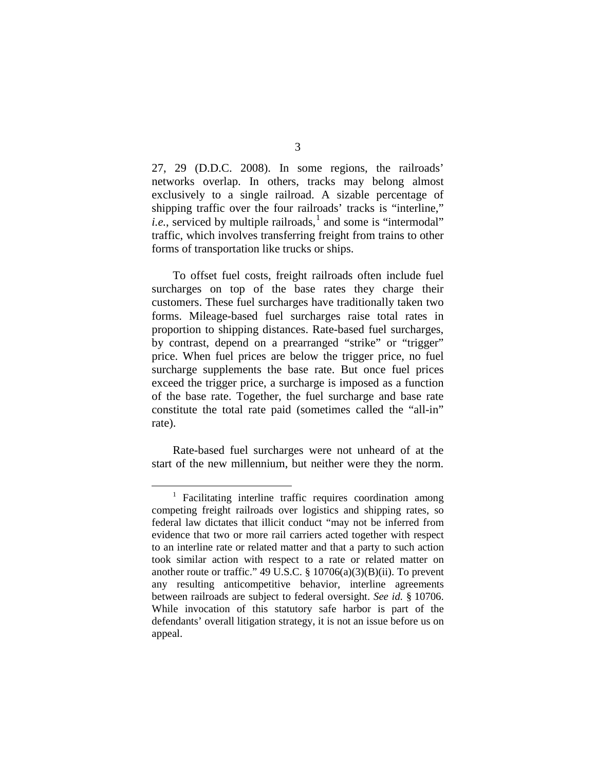27, 29 (D.D.C. 2008). In some regions, the railroads' networks overlap. In others, tracks may belong almost exclusively to a single railroad. A sizable percentage of shipping traffic over the four railroads' tracks is "interline," *i.e.*, serviced by multiple railroads,<sup>1</sup> and some is "intermodal" traffic, which involves transferring freight from trains to other forms of transportation like trucks or ships.

To offset fuel costs, freight railroads often include fuel surcharges on top of the base rates they charge their customers. These fuel surcharges have traditionally taken two forms. Mileage-based fuel surcharges raise total rates in proportion to shipping distances. Rate-based fuel surcharges, by contrast, depend on a prearranged "strike" or "trigger" price. When fuel prices are below the trigger price, no fuel surcharge supplements the base rate. But once fuel prices exceed the trigger price, a surcharge is imposed as a function of the base rate. Together, the fuel surcharge and base rate constitute the total rate paid (sometimes called the "all-in" rate).

Rate-based fuel surcharges were not unheard of at the start of the new millennium, but neither were they the norm.

 $1$  Facilitating interline traffic requires coordination among competing freight railroads over logistics and shipping rates, so federal law dictates that illicit conduct "may not be inferred from evidence that two or more rail carriers acted together with respect to an interline rate or related matter and that a party to such action took similar action with respect to a rate or related matter on another route or traffic." 49 U.S.C. § 10706(a)(3)(B)(ii). To prevent any resulting anticompetitive behavior, interline agreements between railroads are subject to federal oversight. *See id.* § 10706. While invocation of this statutory safe harbor is part of the defendants' overall litigation strategy, it is not an issue before us on appeal.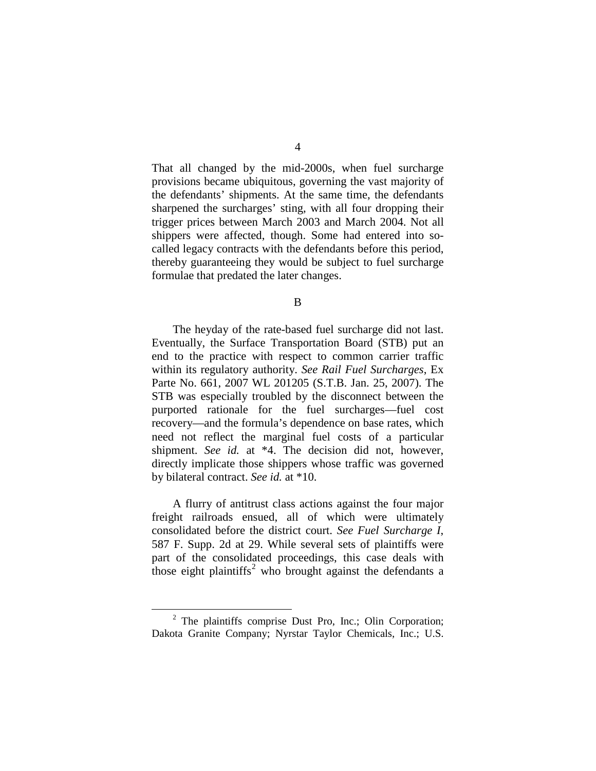That all changed by the mid-2000s, when fuel surcharge provisions became ubiquitous, governing the vast majority of the defendants' shipments. At the same time, the defendants sharpened the surcharges' sting, with all four dropping their trigger prices between March 2003 and March 2004. Not all shippers were affected, though. Some had entered into socalled legacy contracts with the defendants before this period, thereby guaranteeing they would be subject to fuel surcharge formulae that predated the later changes.

B

The heyday of the rate-based fuel surcharge did not last. Eventually, the Surface Transportation Board (STB) put an end to the practice with respect to common carrier traffic within its regulatory authority. *See Rail Fuel Surcharges*, Ex Parte No. 661, 2007 WL 201205 (S.T.B. Jan. 25, 2007). The STB was especially troubled by the disconnect between the purported rationale for the fuel surcharges—fuel cost recovery—and the formula's dependence on base rates, which need not reflect the marginal fuel costs of a particular shipment. *See id.* at \*4. The decision did not, however, directly implicate those shippers whose traffic was governed by bilateral contract. *See id.* at \*10.

A flurry of antitrust class actions against the four major freight railroads ensued, all of which were ultimately consolidated before the district court. *See Fuel Surcharge I*, 587 F. Supp. 2d at 29. While several sets of plaintiffs were part of the consolidated proceedings, this case deals with those eight plaintiffs<sup>2</sup> who brought against the defendants a

 $2$  The plaintiffs comprise Dust Pro, Inc.; Olin Corporation; Dakota Granite Company; Nyrstar Taylor Chemicals, Inc.; U.S.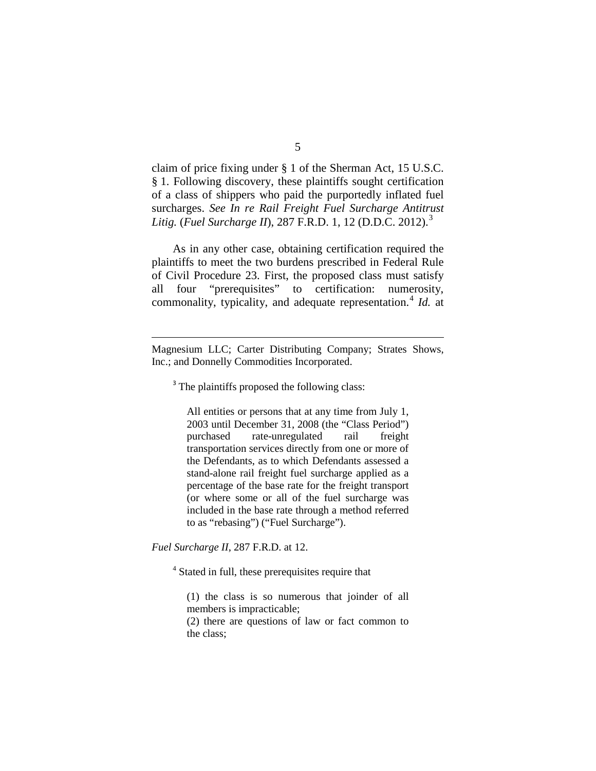claim of price fixing under § 1 of the Sherman Act, 15 U.S.C. § 1. Following discovery, these plaintiffs sought certification of a class of shippers who paid the purportedly inflated fuel surcharges. *See In re Rail Freight Fuel Surcharge Antitrust Litig.* (*Fuel Surcharge II*), 287 F.R.D. 1, 12 (D.D.C. 2012). 3

As in any other case, obtaining certification required the plaintiffs to meet the two burdens prescribed in Federal Rule of Civil Procedure 23. First, the proposed class must satisfy all four "prerequisites" to certification: numerosity, commonality, typicality, and adequate representation.<sup>4</sup> *Id.* at

<sup>3</sup> The plaintiffs proposed the following class:

All entities or persons that at any time from July 1, 2003 until December 31, 2008 (the "Class Period") purchased rate-unregulated rail freight transportation services directly from one or more of the Defendants, as to which Defendants assessed a stand-alone rail freight fuel surcharge applied as a percentage of the base rate for the freight transport (or where some or all of the fuel surcharge was included in the base rate through a method referred to as "rebasing") ("Fuel Surcharge").

*Fuel Surcharge II*, 287 F.R.D. at 12.

 $\overline{a}$ 

<sup>4</sup> Stated in full, these prerequisites require that

(1) the class is so numerous that joinder of all members is impracticable;

(2) there are questions of law or fact common to the class;

Magnesium LLC; Carter Distributing Company; Strates Shows, Inc.; and Donnelly Commodities Incorporated.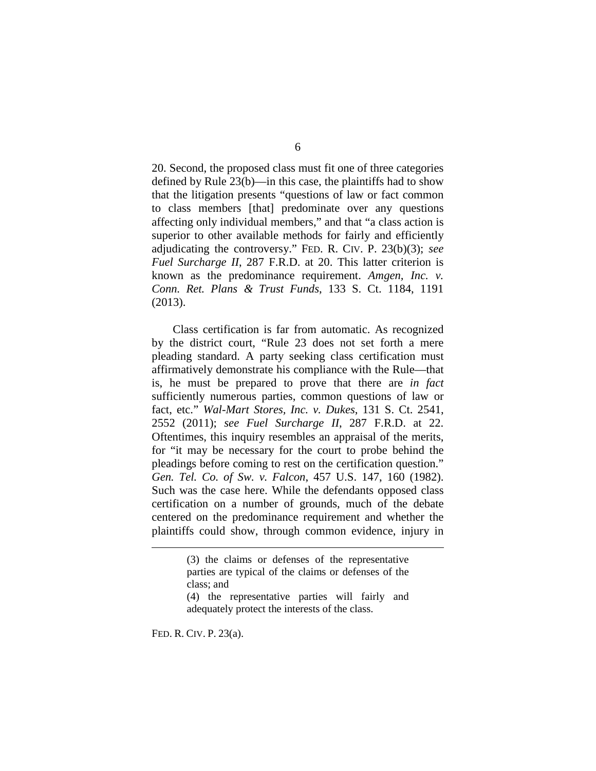20. Second, the proposed class must fit one of three categories defined by Rule 23(b)—in this case, the plaintiffs had to show that the litigation presents "questions of law or fact common to class members [that] predominate over any questions affecting only individual members," and that "a class action is superior to other available methods for fairly and efficiently adjudicating the controversy." FED. R. CIV. P. 23(b)(3); *see Fuel Surcharge II*, 287 F.R.D. at 20. This latter criterion is known as the predominance requirement. *Amgen, Inc. v. Conn. Ret. Plans & Trust Funds*, 133 S. Ct. 1184, 1191 (2013).

Class certification is far from automatic. As recognized by the district court, "Rule 23 does not set forth a mere pleading standard. A party seeking class certification must affirmatively demonstrate his compliance with the Rule—that is, he must be prepared to prove that there are *in fact* sufficiently numerous parties, common questions of law or fact, etc." *Wal-Mart Stores, Inc. v. Dukes*, 131 S. Ct. 2541, 2552 (2011); *see Fuel Surcharge II*, 287 F.R.D. at 22. Oftentimes, this inquiry resembles an appraisal of the merits, for "it may be necessary for the court to probe behind the pleadings before coming to rest on the certification question." *Gen. Tel. Co. of Sw. v. Falcon*, 457 U.S. 147, 160 (1982). Such was the case here. While the defendants opposed class certification on a number of grounds, much of the debate centered on the predominance requirement and whether the plaintiffs could show, through common evidence, injury in

FED. R. CIV. P. 23(a).

 $\overline{a}$ 

<sup>(3)</sup> the claims or defenses of the representative parties are typical of the claims or defenses of the class; and

<sup>(4)</sup> the representative parties will fairly and adequately protect the interests of the class.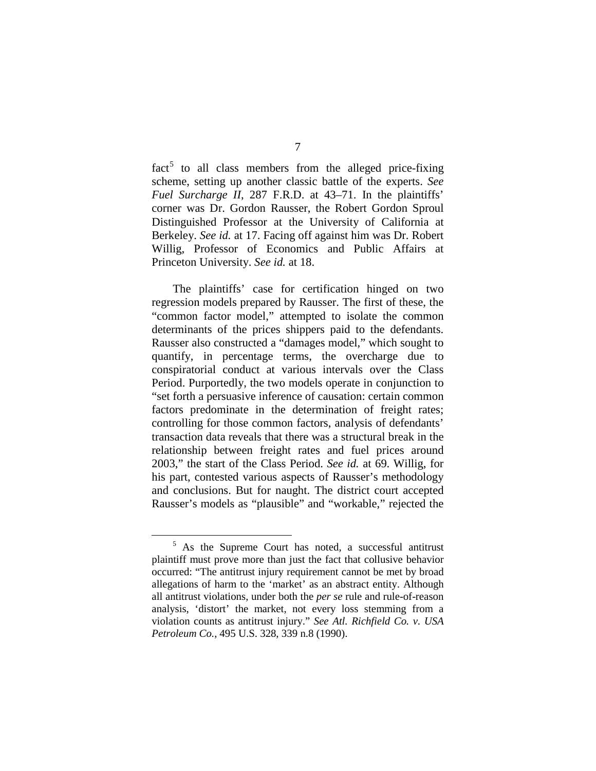$fact<sup>5</sup>$  to all class members from the alleged price-fixing scheme, setting up another classic battle of the experts. *See Fuel Surcharge II*, 287 F.R.D. at 43–71. In the plaintiffs' corner was Dr. Gordon Rausser, the Robert Gordon Sproul Distinguished Professor at the University of California at Berkeley. *See id.* at 17. Facing off against him was Dr. Robert Willig, Professor of Economics and Public Affairs at Princeton University. *See id.* at 18.

The plaintiffs' case for certification hinged on two regression models prepared by Rausser. The first of these, the "common factor model," attempted to isolate the common determinants of the prices shippers paid to the defendants. Rausser also constructed a "damages model," which sought to quantify, in percentage terms, the overcharge due to conspiratorial conduct at various intervals over the Class Period. Purportedly, the two models operate in conjunction to "set forth a persuasive inference of causation: certain common factors predominate in the determination of freight rates; controlling for those common factors, analysis of defendants' transaction data reveals that there was a structural break in the relationship between freight rates and fuel prices around 2003," the start of the Class Period. *See id.* at 69. Willig, for his part, contested various aspects of Rausser's methodology and conclusions. But for naught. The district court accepted Rausser's models as "plausible" and "workable," rejected the

 $5$  As the Supreme Court has noted, a successful antitrust plaintiff must prove more than just the fact that collusive behavior occurred: "The antitrust injury requirement cannot be met by broad allegations of harm to the 'market' as an abstract entity. Although all antitrust violations, under both the *per se* rule and rule-of-reason analysis, 'distort' the market, not every loss stemming from a violation counts as antitrust injury." *See Atl. Richfield Co. v. USA Petroleum Co.*, 495 U.S. 328, 339 n.8 (1990).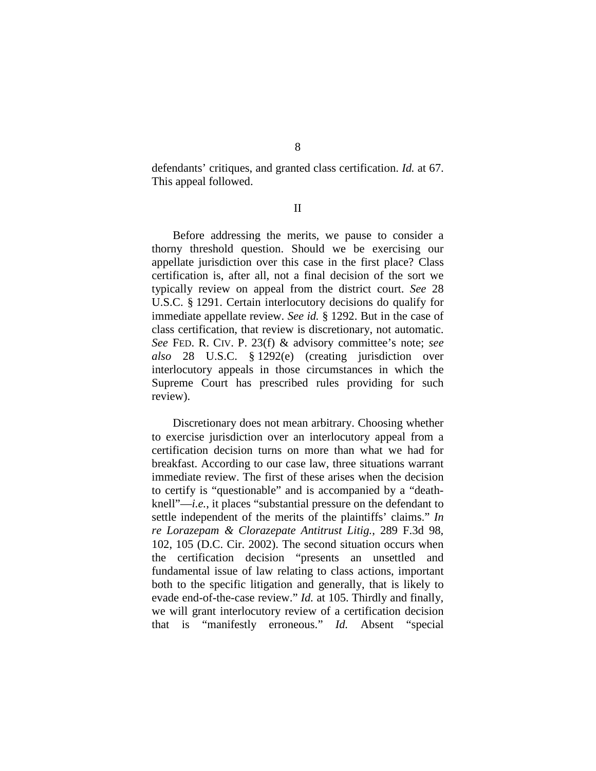defendants' critiques, and granted class certification. *Id.* at 67. This appeal followed.

II

Before addressing the merits, we pause to consider a thorny threshold question. Should we be exercising our appellate jurisdiction over this case in the first place? Class certification is, after all, not a final decision of the sort we typically review on appeal from the district court. *See* 28 U.S.C. § 1291. Certain interlocutory decisions do qualify for immediate appellate review. *See id.* § 1292. But in the case of class certification, that review is discretionary, not automatic. *See* FED. R. CIV. P. 23(f) & advisory committee's note; *see also* 28 U.S.C. § 1292(e) (creating jurisdiction over interlocutory appeals in those circumstances in which the Supreme Court has prescribed rules providing for such review).

Discretionary does not mean arbitrary. Choosing whether to exercise jurisdiction over an interlocutory appeal from a certification decision turns on more than what we had for breakfast. According to our case law, three situations warrant immediate review. The first of these arises when the decision to certify is "questionable" and is accompanied by a "deathknell"—*i.e.*, it places "substantial pressure on the defendant to settle independent of the merits of the plaintiffs' claims." *In re Lorazepam & Clorazepate Antitrust Litig.*, 289 F.3d 98, 102, 105 (D.C. Cir. 2002). The second situation occurs when the certification decision "presents an unsettled and fundamental issue of law relating to class actions, important both to the specific litigation and generally, that is likely to evade end-of-the-case review." *Id.* at 105. Thirdly and finally, we will grant interlocutory review of a certification decision that is "manifestly erroneous." *Id.* Absent "special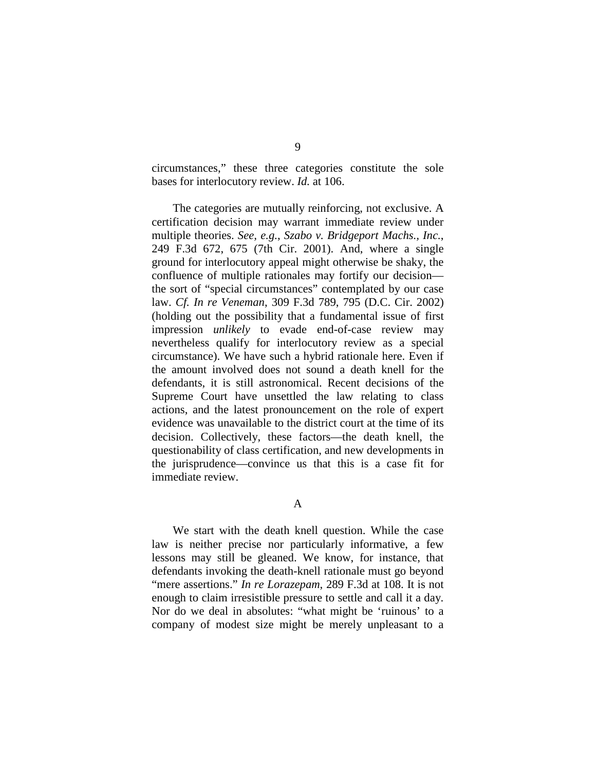circumstances," these three categories constitute the sole bases for interlocutory review. *Id.* at 106.

The categories are mutually reinforcing, not exclusive. A certification decision may warrant immediate review under multiple theories. *See, e.g.*, *Szabo v. Bridgeport Machs., Inc.*, 249 F.3d 672, 675 (7th Cir. 2001). And, where a single ground for interlocutory appeal might otherwise be shaky, the confluence of multiple rationales may fortify our decision the sort of "special circumstances" contemplated by our case law. *Cf. In re Veneman*, 309 F.3d 789, 795 (D.C. Cir. 2002) (holding out the possibility that a fundamental issue of first impression *unlikely* to evade end-of-case review may nevertheless qualify for interlocutory review as a special circumstance). We have such a hybrid rationale here. Even if the amount involved does not sound a death knell for the defendants, it is still astronomical. Recent decisions of the Supreme Court have unsettled the law relating to class actions, and the latest pronouncement on the role of expert evidence was unavailable to the district court at the time of its decision. Collectively, these factors—the death knell, the questionability of class certification, and new developments in the jurisprudence—convince us that this is a case fit for immediate review.

A

We start with the death knell question. While the case law is neither precise nor particularly informative, a few lessons may still be gleaned. We know, for instance, that defendants invoking the death-knell rationale must go beyond "mere assertions." *In re Lorazepam*, 289 F.3d at 108. It is not enough to claim irresistible pressure to settle and call it a day. Nor do we deal in absolutes: "what might be 'ruinous' to a company of modest size might be merely unpleasant to a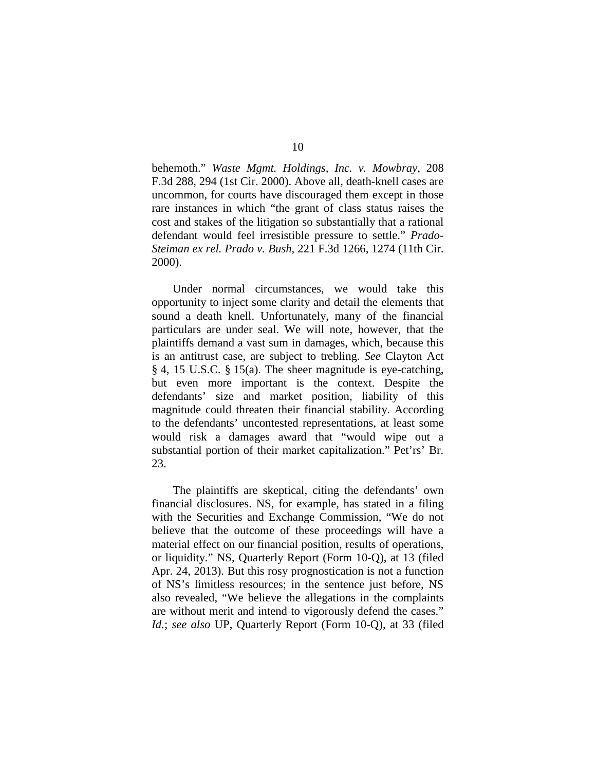behemoth." *Waste Mgmt. Holdings, Inc. v. Mowbray*, 208 F.3d 288, 294 (1st Cir. 2000). Above all, death-knell cases are uncommon, for courts have discouraged them except in those rare instances in which "the grant of class status raises the cost and stakes of the litigation so substantially that a rational defendant would feel irresistible pressure to settle." *Prado-Steiman ex rel. Prado v. Bush*, 221 F.3d 1266, 1274 (11th Cir. 2000).

Under normal circumstances, we would take this opportunity to inject some clarity and detail the elements that sound a death knell. Unfortunately, many of the financial particulars are under seal. We will note, however, that the plaintiffs demand a vast sum in damages, which, because this is an antitrust case, are subject to trebling. *See* Clayton Act § 4, 15 U.S.C. § 15(a). The sheer magnitude is eye-catching, but even more important is the context. Despite the defendants' size and market position, liability of this magnitude could threaten their financial stability. According to the defendants' uncontested representations, at least some would risk a damages award that "would wipe out a substantial portion of their market capitalization." Pet'rs' Br. 23.

The plaintiffs are skeptical, citing the defendants' own financial disclosures. NS, for example, has stated in a filing with the Securities and Exchange Commission, "We do not believe that the outcome of these proceedings will have a material effect on our financial position, results of operations, or liquidity." NS, Quarterly Report (Form 10-Q), at 13 (filed Apr. 24, 2013). But this rosy prognostication is not a function of NS's limitless resources; in the sentence just before, NS also revealed, "We believe the allegations in the complaints are without merit and intend to vigorously defend the cases." *Id.*; *see also* UP, Quarterly Report (Form 10-Q), at 33 (filed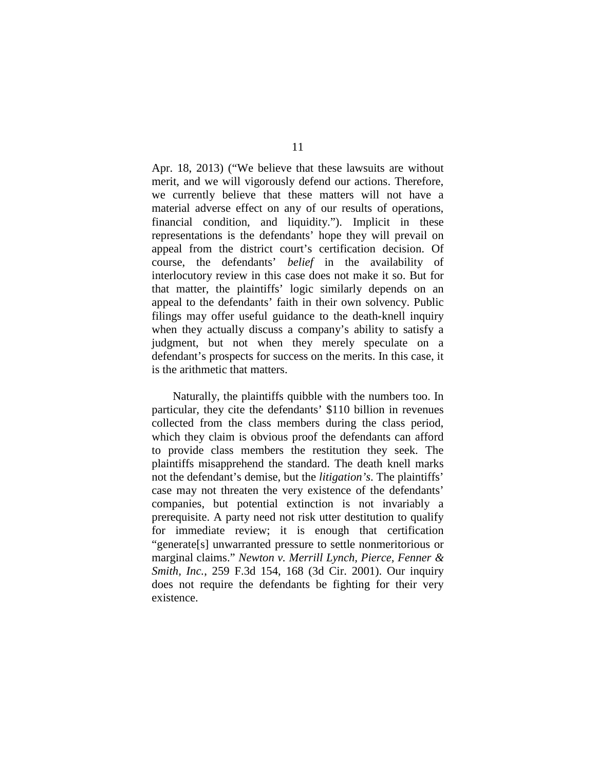Apr. 18, 2013) ("We believe that these lawsuits are without merit, and we will vigorously defend our actions. Therefore, we currently believe that these matters will not have a material adverse effect on any of our results of operations, financial condition, and liquidity."). Implicit in these representations is the defendants' hope they will prevail on appeal from the district court's certification decision. Of course, the defendants' *belief* in the availability of interlocutory review in this case does not make it so. But for that matter, the plaintiffs' logic similarly depends on an appeal to the defendants' faith in their own solvency. Public filings may offer useful guidance to the death-knell inquiry when they actually discuss a company's ability to satisfy a judgment, but not when they merely speculate on a defendant's prospects for success on the merits. In this case, it is the arithmetic that matters.

Naturally, the plaintiffs quibble with the numbers too. In particular, they cite the defendants' \$110 billion in revenues collected from the class members during the class period, which they claim is obvious proof the defendants can afford to provide class members the restitution they seek. The plaintiffs misapprehend the standard. The death knell marks not the defendant's demise, but the *litigation's*. The plaintiffs' case may not threaten the very existence of the defendants' companies, but potential extinction is not invariably a prerequisite. A party need not risk utter destitution to qualify for immediate review; it is enough that certification "generate[s] unwarranted pressure to settle nonmeritorious or marginal claims." *Newton v. Merrill Lynch, Pierce, Fenner & Smith, Inc.*, 259 F.3d 154, 168 (3d Cir. 2001). Our inquiry does not require the defendants be fighting for their very existence.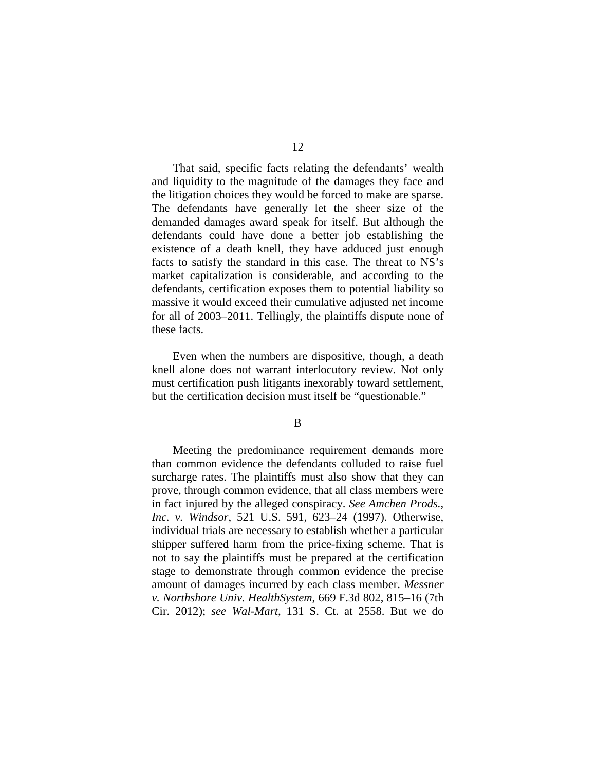That said, specific facts relating the defendants' wealth and liquidity to the magnitude of the damages they face and the litigation choices they would be forced to make are sparse. The defendants have generally let the sheer size of the demanded damages award speak for itself. But although the defendants could have done a better job establishing the existence of a death knell, they have adduced just enough facts to satisfy the standard in this case. The threat to NS's market capitalization is considerable, and according to the defendants, certification exposes them to potential liability so massive it would exceed their cumulative adjusted net income for all of 2003–2011. Tellingly, the plaintiffs dispute none of these facts.

Even when the numbers are dispositive, though, a death knell alone does not warrant interlocutory review. Not only must certification push litigants inexorably toward settlement, but the certification decision must itself be "questionable."

B

Meeting the predominance requirement demands more than common evidence the defendants colluded to raise fuel surcharge rates. The plaintiffs must also show that they can prove, through common evidence, that all class members were in fact injured by the alleged conspiracy. *See Amchen Prods., Inc. v. Windsor*, 521 U.S. 591, 623–24 (1997). Otherwise, individual trials are necessary to establish whether a particular shipper suffered harm from the price-fixing scheme. That is not to say the plaintiffs must be prepared at the certification stage to demonstrate through common evidence the precise amount of damages incurred by each class member. *Messner v. Northshore Univ. HealthSystem*, 669 F.3d 802, 815–16 (7th Cir. 2012); *see Wal-Mart*, 131 S. Ct. at 2558. But we do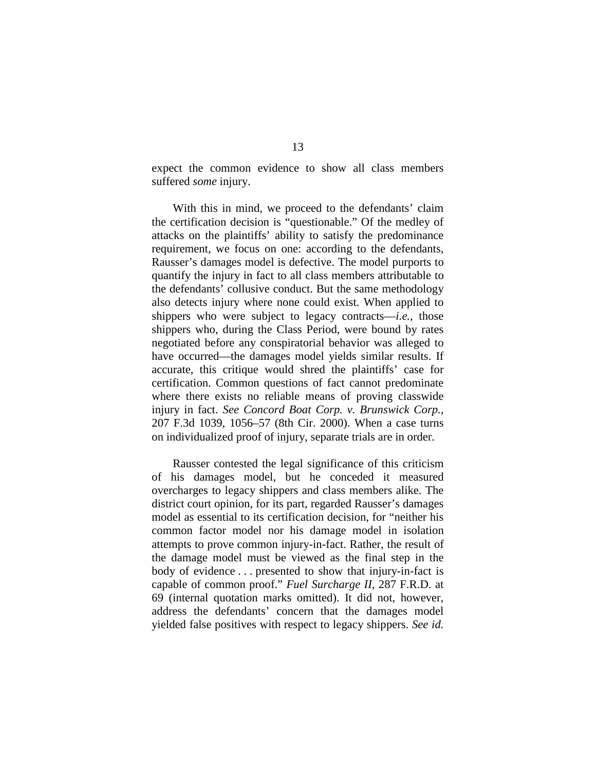expect the common evidence to show all class members suffered *some* injury.

With this in mind, we proceed to the defendants' claim the certification decision is "questionable." Of the medley of attacks on the plaintiffs' ability to satisfy the predominance requirement, we focus on one: according to the defendants, Rausser's damages model is defective. The model purports to quantify the injury in fact to all class members attributable to the defendants' collusive conduct. But the same methodology also detects injury where none could exist. When applied to shippers who were subject to legacy contracts—*i.e.*, those shippers who, during the Class Period, were bound by rates negotiated before any conspiratorial behavior was alleged to have occurred—the damages model yields similar results. If accurate, this critique would shred the plaintiffs' case for certification. Common questions of fact cannot predominate where there exists no reliable means of proving classwide injury in fact. *See Concord Boat Corp. v. Brunswick Corp.*, 207 F.3d 1039, 1056–57 (8th Cir. 2000). When a case turns on individualized proof of injury, separate trials are in order.

Rausser contested the legal significance of this criticism of his damages model, but he conceded it measured overcharges to legacy shippers and class members alike. The district court opinion, for its part, regarded Rausser's damages model as essential to its certification decision, for "neither his common factor model nor his damage model in isolation attempts to prove common injury-in-fact. Rather, the result of the damage model must be viewed as the final step in the body of evidence . . . presented to show that injury-in-fact is capable of common proof." *Fuel Surcharge II*, 287 F.R.D. at 69 (internal quotation marks omitted). It did not, however, address the defendants' concern that the damages model yielded false positives with respect to legacy shippers. *See id.*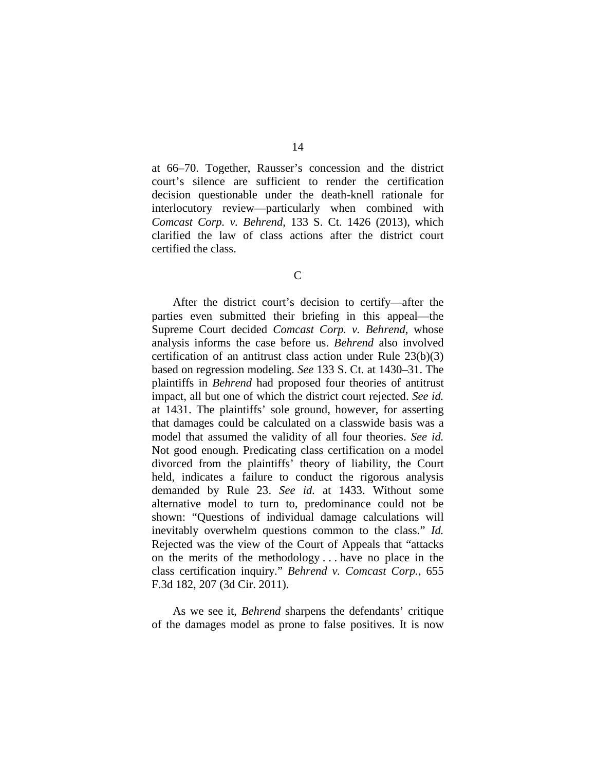at 66–70. Together, Rausser's concession and the district court's silence are sufficient to render the certification decision questionable under the death-knell rationale for interlocutory review—particularly when combined with *Comcast Corp. v. Behrend*, 133 S. Ct. 1426 (2013), which clarified the law of class actions after the district court certified the class.

C

After the district court's decision to certify—after the parties even submitted their briefing in this appeal—the Supreme Court decided *Comcast Corp. v. Behrend*, whose analysis informs the case before us. *Behrend* also involved certification of an antitrust class action under Rule 23(b)(3) based on regression modeling. *See* 133 S. Ct. at 1430–31. The plaintiffs in *Behrend* had proposed four theories of antitrust impact, all but one of which the district court rejected. *See id.* at 1431. The plaintiffs' sole ground, however, for asserting that damages could be calculated on a classwide basis was a model that assumed the validity of all four theories. *See id.* Not good enough. Predicating class certification on a model divorced from the plaintiffs' theory of liability, the Court held, indicates a failure to conduct the rigorous analysis demanded by Rule 23. *See id.* at 1433. Without some alternative model to turn to, predominance could not be shown: "Questions of individual damage calculations will inevitably overwhelm questions common to the class." *Id.* Rejected was the view of the Court of Appeals that "attacks on the merits of the methodology . . . have no place in the class certification inquiry." *Behrend v. Comcast Corp.*, 655 F.3d 182, 207 (3d Cir. 2011).

As we see it, *Behrend* sharpens the defendants' critique of the damages model as prone to false positives. It is now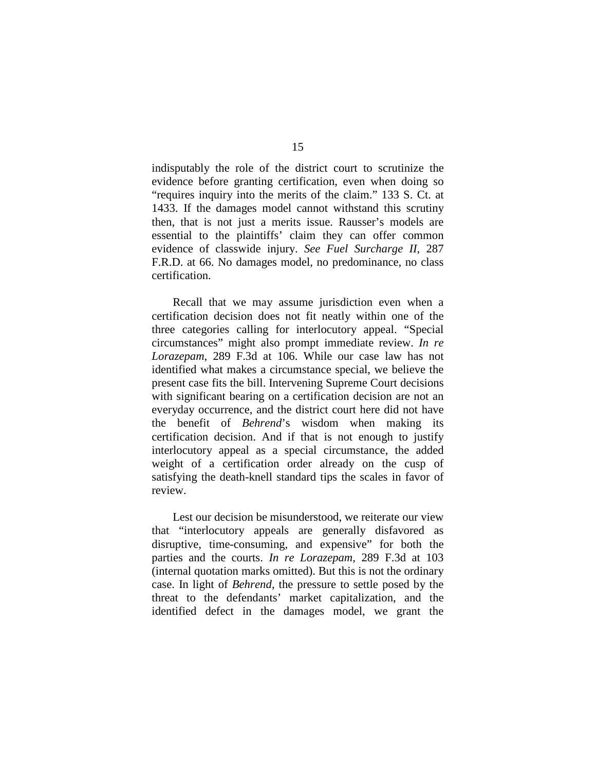indisputably the role of the district court to scrutinize the evidence before granting certification, even when doing so "requires inquiry into the merits of the claim." 133 S. Ct. at 1433. If the damages model cannot withstand this scrutiny then, that is not just a merits issue. Rausser's models are essential to the plaintiffs' claim they can offer common evidence of classwide injury. *See Fuel Surcharge II*, 287 F.R.D. at 66. No damages model, no predominance, no class certification.

Recall that we may assume jurisdiction even when a certification decision does not fit neatly within one of the three categories calling for interlocutory appeal. "Special circumstances" might also prompt immediate review. *In re Lorazepam*, 289 F.3d at 106. While our case law has not identified what makes a circumstance special, we believe the present case fits the bill. Intervening Supreme Court decisions with significant bearing on a certification decision are not an everyday occurrence, and the district court here did not have the benefit of *Behrend*'s wisdom when making its certification decision. And if that is not enough to justify interlocutory appeal as a special circumstance, the added weight of a certification order already on the cusp of satisfying the death-knell standard tips the scales in favor of review.

Lest our decision be misunderstood, we reiterate our view that "interlocutory appeals are generally disfavored as disruptive, time-consuming, and expensive" for both the parties and the courts. *In re Lorazepam*, 289 F.3d at 103 (internal quotation marks omitted). But this is not the ordinary case. In light of *Behrend*, the pressure to settle posed by the threat to the defendants' market capitalization, and the identified defect in the damages model, we grant the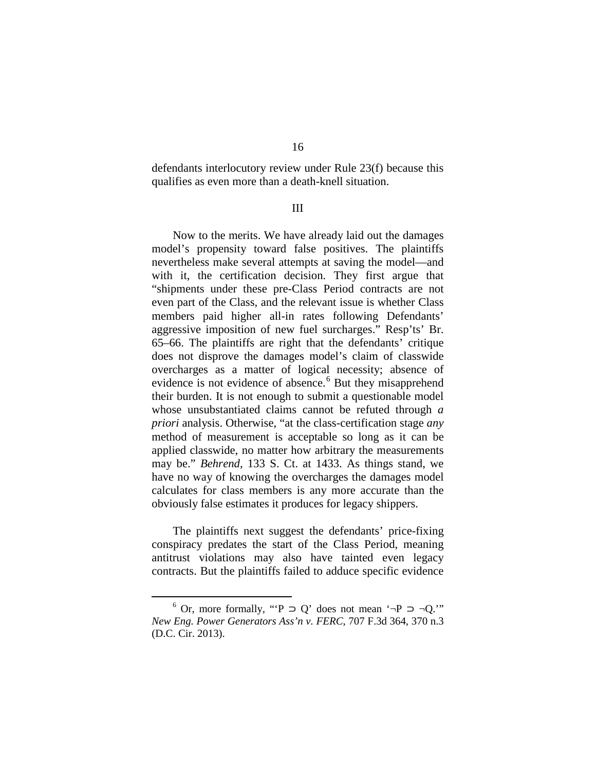defendants interlocutory review under Rule 23(f) because this qualifies as even more than a death-knell situation.

## III

Now to the merits. We have already laid out the damages model's propensity toward false positives. The plaintiffs nevertheless make several attempts at saving the model—and with it, the certification decision. They first argue that "shipments under these pre-Class Period contracts are not even part of the Class, and the relevant issue is whether Class members paid higher all-in rates following Defendants' aggressive imposition of new fuel surcharges." Resp'ts' Br. 65–66. The plaintiffs are right that the defendants' critique does not disprove the damages model's claim of classwide overcharges as a matter of logical necessity; absence of evidence is not evidence of absence.<sup>6</sup> But they misapprehend their burden. It is not enough to submit a questionable model whose unsubstantiated claims cannot be refuted through *a priori* analysis. Otherwise, "at the class-certification stage *any* method of measurement is acceptable so long as it can be applied classwide, no matter how arbitrary the measurements may be." *Behrend*, 133 S. Ct. at 1433. As things stand, we have no way of knowing the overcharges the damages model calculates for class members is any more accurate than the obviously false estimates it produces for legacy shippers.

The plaintiffs next suggest the defendants' price-fixing conspiracy predates the start of the Class Period, meaning antitrust violations may also have tainted even legacy contracts. But the plaintiffs failed to adduce specific evidence

<sup>&</sup>lt;sup>6</sup> Or, more formally, "'P ⊃ Q' does not mean '¬P ⊃ ¬Q.'" *New Eng. Power Generators Ass'n v. FERC*, 707 F.3d 364, 370 n.3 (D.C. Cir. 2013).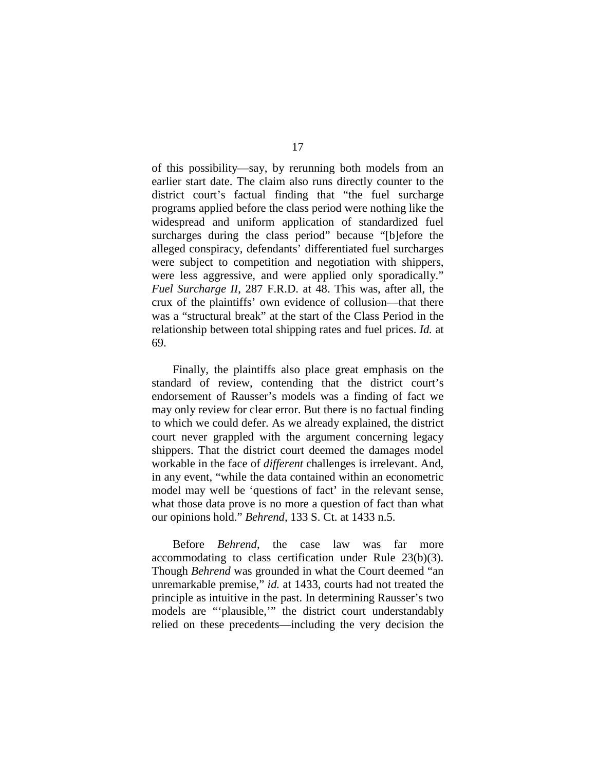of this possibility—say, by rerunning both models from an earlier start date. The claim also runs directly counter to the district court's factual finding that "the fuel surcharge programs applied before the class period were nothing like the widespread and uniform application of standardized fuel surcharges during the class period" because "[b]efore the alleged conspiracy, defendants' differentiated fuel surcharges were subject to competition and negotiation with shippers, were less aggressive, and were applied only sporadically." *Fuel Surcharge II*, 287 F.R.D. at 48. This was, after all, the crux of the plaintiffs' own evidence of collusion—that there was a "structural break" at the start of the Class Period in the relationship between total shipping rates and fuel prices. *Id.* at 69.

Finally, the plaintiffs also place great emphasis on the standard of review, contending that the district court's endorsement of Rausser's models was a finding of fact we may only review for clear error. But there is no factual finding to which we could defer. As we already explained, the district court never grappled with the argument concerning legacy shippers. That the district court deemed the damages model workable in the face of *different* challenges is irrelevant. And, in any event, "while the data contained within an econometric model may well be 'questions of fact' in the relevant sense, what those data prove is no more a question of fact than what our opinions hold." *Behrend*, 133 S. Ct. at 1433 n.5.

Before *Behrend*, the case law was far more accommodating to class certification under Rule 23(b)(3). Though *Behrend* was grounded in what the Court deemed "an unremarkable premise," *id.* at 1433, courts had not treated the principle as intuitive in the past. In determining Rausser's two models are "'plausible,'" the district court understandably relied on these precedents—including the very decision the